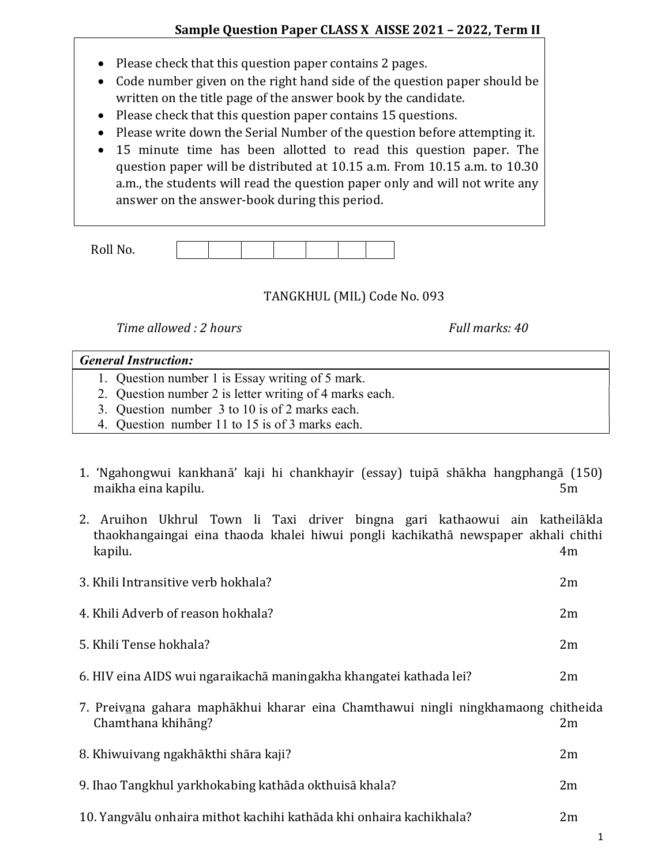- Please check that this question paper contains 2 pages.
- Code number given on the right hand side of the question paper should be written on the title page of the answer book by the candidate.
- Please check that this question paper contains 15 questions.
- Please write down the Serial Number of the question before attempting it.
- 15 minute time has been allotted to read this question paper. The question paper will be distributed at 10.15 a.m. From 10.15 a.m. to 10.30 a.m., the students will read the question paper only and will not write any answer on the answer-book during this period.

| $D0$ ll N <sub>c</sub><br>NOIL IVO. |  |  |  |  |
|-------------------------------------|--|--|--|--|

## TANGKHUL (MIL) Code No. 093

Time allowed : 2 hours Full marks: 40

## General Instruction:

- 1. Question number 1 is Essay writing of 5 mark.
- 2. Question number 2 is letter writing of 4 marks each.
- 3. Question number 3 to 10 is of 2 marks each.
- 4. Question number 11 to 15 is of 3 marks each.
- 1. 'Ngahongwui kankhanā' kaji hi chankhayir (essay) tuipā shākha hangphangā (150) maikha eina kapilu. 5m
- 2. Aruihon Ukhrul Town li Taxi driver bingna gari kathaowui ain katheilākla thaokhangaingai eina thaoda khalei hiwui pongli kachikathā newspaper akhali chithi kapilu. 4m

| 3. Khili Intransitive verb hokhala?                                                                     | 2m |
|---------------------------------------------------------------------------------------------------------|----|
| 4. Khili Adverb of reason hokhala?                                                                      | 2m |
| 5. Khili Tense hokhala?                                                                                 | 2m |
| 6. HIV eina AIDS wui ngaraikachā maningakha khangatei kathada lei?                                      | 2m |
| 7. Preivana gahara maphākhui kharar eina Chamthawui ningli ningkhamaong chitheida<br>Chamthana khihāng? | 2m |

- 8. Khiwuivang ngakhākthi shāra kaji? 2m
- 9. Ihao Tangkhul yarkhokabing kathāda okthuisā khala? 2m
- 10. Yangvālu onhaira mithot kachihi kathāda khi onhaira kachikhala? 2m